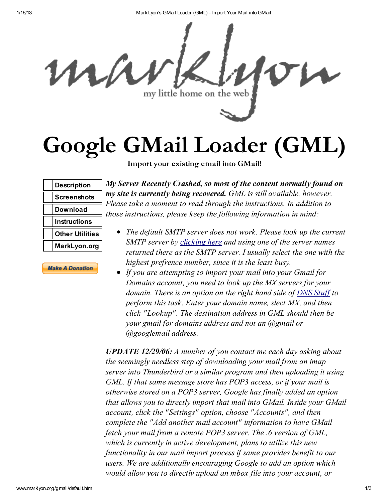1/16/13 MarkLyon's GMail Loader (GML) - Import Your Mail into GMail



## Google GMail Loader (GML)

Import your existing email into GMail!

| <b>Description</b>     |
|------------------------|
| <b>Screenshots</b>     |
| Download               |
| Instructions           |
| <b>Other Utilities</b> |
| MarkLyon.org           |

**Make A Donation** 

*My Server Recently Crashed, so most of the content normally found on my site is currently being recovered. GML is still available, however. Please take a moment to read through the instructions. In addition to those instructions, please keep the following information in mind:*

- *The default SMTP server does not work. Please look up the current SMTP server by [clicking](http://www.dnsstuff.com/tools/lookup.ch?name=gmail.com&type=MX) here and using one of the server names returned there as the SMTP server. I usually select the one with the highest prefrence number, since it is the least busy.*
- *If you are attempting to import your mail into your Gmail for Domains account, you need to look up the MX servers for your domain. There is an option on the right hand side of DNS [Stuff](http://www.dnsstuff.com/) to perform this task. Enter your domain name, slect MX, and then click "Lookup". The destination address in GML should then be your gmail for domains address and not an @gmail or @googlemail address.*

*UPDATE 12/29/06: A number of you contact me each day asking about the seemingly needless step of downloading your mail from an imap server into Thunderbird or a similar program and then uploading it using GML. If that same message store has POP3 access, or if your mail is otherwise stored on a POP3 server, Google has finally added an option that allows you to directly import that mail into GMail. Inside your GMail account, click the "Settings" option, choose "Accounts", and then complete the "Add another mail account" information to have GMail fetch your mail from a remote POP3 server. The .6 version of GML, which is currently in active development, plans to utilize this new functionality in our mail import process if same provides benefit to our users. We are additionally encouraging Google to add an option which would allow you to directly upload an mbox file into your account, or*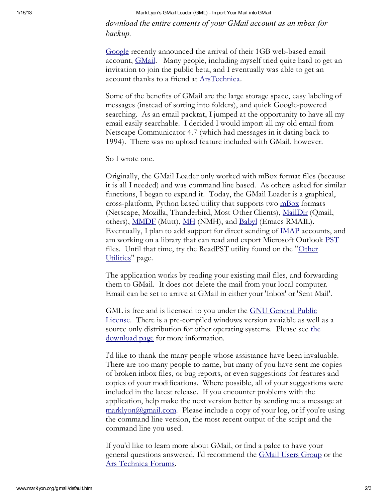1/16/13 MarkLyon's GMail Loader (GML) - Import Your Mail into GMail

*download the entire contents of your GMail account as an mbox for backup.*

[Google](http://www.google.com/) recently announced the arrival of their 1GB web-based email account, **[GMail](http://www.gmail.com/).** Many people, including myself tried quite hard to get an invitation to join the public beta, and I eventually was able to get an account thanks to a friend at [ArsTechnica](http://episteme.arstechnica.com/eve/ubb.x?a=tpc&s=50009562&f=34709834&m=584002774631).

Some of the benefits of GMail are the large storage space, easy labeling of messages (instead of sorting into folders), and quick Google-powered searching. As an email packrat, I jumped at the opportunity to have all my email easily searchable. I decided I would import all my old email from Netscape Communicator 4.7 (which had messages in it dating back to 1994). There was no upload feature included with GMail, however.

So I wrote one.

Originally, the GMail Loader only worked with mBox format files (because it is all I needed) and was command line based. As others asked for similar functions, I began to expand it. Today, the GMail Loader is a graphical, cross-platform, Python based utility that supports two  $\frac{mBox}{mBox}$  $\frac{mBox}{mBox}$  $\frac{mBox}{mBox}$  formats (Netscape, Mozilla, Thunderbird, Most Other Clients), [MailDir](http://cr.yp.to/proto/maildir.html) (Qmail, others), <u>[MMDF](http://www.faqs.org/faqs/mail/mmdf-faq/part1/)</u> (Mutt), <u>[MH](http://www.ics.uci.edu/~mh/)</u> (NMH), and <u>[Babyl](http://www.leapforum.org/published/internetEmail.hyperlatex/index_29.html)</u> (Emacs RMAIL). Eventually, I plan to add support for direct sending of  $\underline{\text{MAP}}$  accounts, and am working on a library that can read and export Microsoft Outlook [PST](http://www.mailnavigator.com/reading_ms_outlook_pst_files.html) files. Until that time, try the [ReadPST](http://www.marklyon.org/gmail/gmailapps.htm) utility found on the "Other Utilities" page.

The application works by reading your existing mail files, and forwarding them to GMail. It does not delete the mail from your local computer. Email can be set to arrive at GMail in either your 'Inbox' or 'Sent Mail'.

GML is free and is licensed to you under the GNU General Public License. There is a [pre-compiled](http://www.gnu.org/copyleft/gpl.html) windows version avaiable as well as a source only distribution for other operating systems. Please see the download page for more [information.](http://www.marklyon.org/gmail/download.htm)

I'd like to thank the many people whose assistance have been invaluable. There are too many people to name, but many of you have sent me copies of broken inbox files, or bug reports, or even suggestions for features and copies of your modifications. Where possible, all of your suggestions were included in the latest release. If you encounter problems with the application, help make the next version better by sending me a message at [marklyon@gmail.com](mailto:marklyon@gmail.com). Please include a copy of your log, or if you're using the command line version, the most recent output of the script and the command line you used.

If you'd like to learn more about GMail, or find a palce to have your general questions answered, I'd recommend the GMail Users [Group](http://groups-beta.google.com/group/Gmail-Users) or the Ars [Technica](http://episteme.arstechnica.com/eve/ubb.x) Forums.